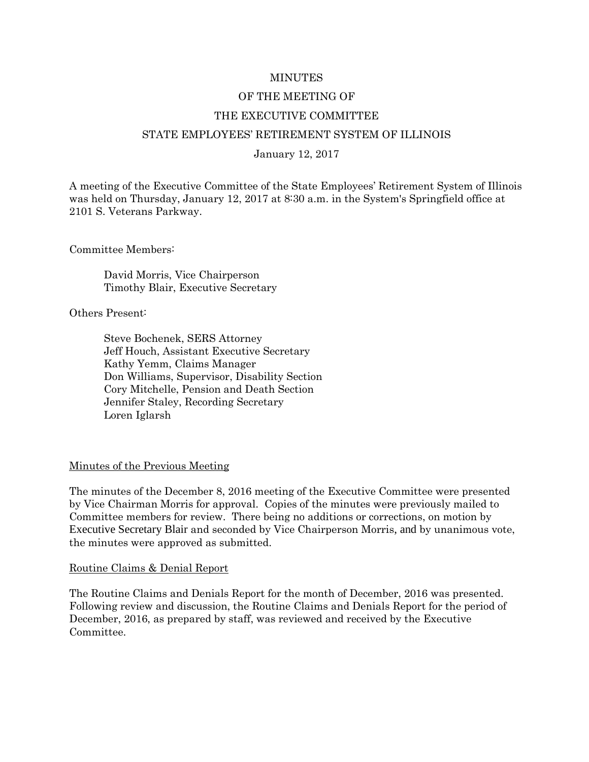#### MINUTES

# OF THE MEETING OF THE EXECUTIVE COMMITTEE

## STATE EMPLOYEES' RETIREMENT SYSTEM OF ILLINOIS

#### January 12, 2017

A meeting of the Executive Committee of the State Employees' Retirement System of Illinois was held on Thursday, January 12, 2017 at 8:30 a.m. in the System's Springfield office at 2101 S. Veterans Parkway.

Committee Members:

David Morris, Vice Chairperson Timothy Blair, Executive Secretary

Others Present:

Steve Bochenek, SERS Attorney Jeff Houch, Assistant Executive Secretary Kathy Yemm, Claims Manager Don Williams, Supervisor, Disability Section Cory Mitchelle, Pension and Death Section Jennifer Staley, Recording Secretary Loren Iglarsh

#### Minutes of the Previous Meeting

The minutes of the December 8, 2016 meeting of the Executive Committee were presented by Vice Chairman Morris for approval. Copies of the minutes were previously mailed to Committee members for review. There being no additions or corrections, on motion by Executive Secretary Blair and seconded by Vice Chairperson Morris, and by unanimous vote, the minutes were approved as submitted.

#### Routine Claims & Denial Report

The Routine Claims and Denials Report for the month of December, 2016 was presented. Following review and discussion, the Routine Claims and Denials Report for the period of December, 2016, as prepared by staff, was reviewed and received by the Executive Committee.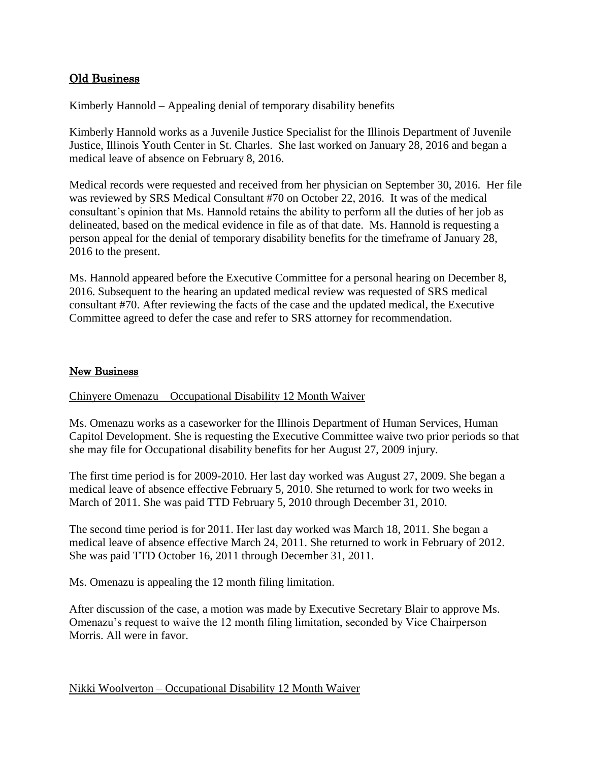## Old Business

## Kimberly Hannold – Appealing denial of temporary disability benefits

Kimberly Hannold works as a Juvenile Justice Specialist for the Illinois Department of Juvenile Justice, Illinois Youth Center in St. Charles. She last worked on January 28, 2016 and began a medical leave of absence on February 8, 2016.

Medical records were requested and received from her physician on September 30, 2016. Her file was reviewed by SRS Medical Consultant #70 on October 22, 2016. It was of the medical consultant's opinion that Ms. Hannold retains the ability to perform all the duties of her job as delineated, based on the medical evidence in file as of that date. Ms. Hannold is requesting a person appeal for the denial of temporary disability benefits for the timeframe of January 28, 2016 to the present.

Ms. Hannold appeared before the Executive Committee for a personal hearing on December 8, 2016. Subsequent to the hearing an updated medical review was requested of SRS medical consultant #70. After reviewing the facts of the case and the updated medical, the Executive Committee agreed to defer the case and refer to SRS attorney for recommendation.

## New Business

#### Chinyere Omenazu – Occupational Disability 12 Month Waiver

Ms. Omenazu works as a caseworker for the Illinois Department of Human Services, Human Capitol Development. She is requesting the Executive Committee waive two prior periods so that she may file for Occupational disability benefits for her August 27, 2009 injury.

The first time period is for 2009-2010. Her last day worked was August 27, 2009. She began a medical leave of absence effective February 5, 2010. She returned to work for two weeks in March of 2011. She was paid TTD February 5, 2010 through December 31, 2010.

The second time period is for 2011. Her last day worked was March 18, 2011. She began a medical leave of absence effective March 24, 2011. She returned to work in February of 2012. She was paid TTD October 16, 2011 through December 31, 2011.

Ms. Omenazu is appealing the 12 month filing limitation.

After discussion of the case, a motion was made by Executive Secretary Blair to approve Ms. Omenazu's request to waive the 12 month filing limitation, seconded by Vice Chairperson Morris. All were in favor.

#### Nikki Woolverton – Occupational Disability 12 Month Waiver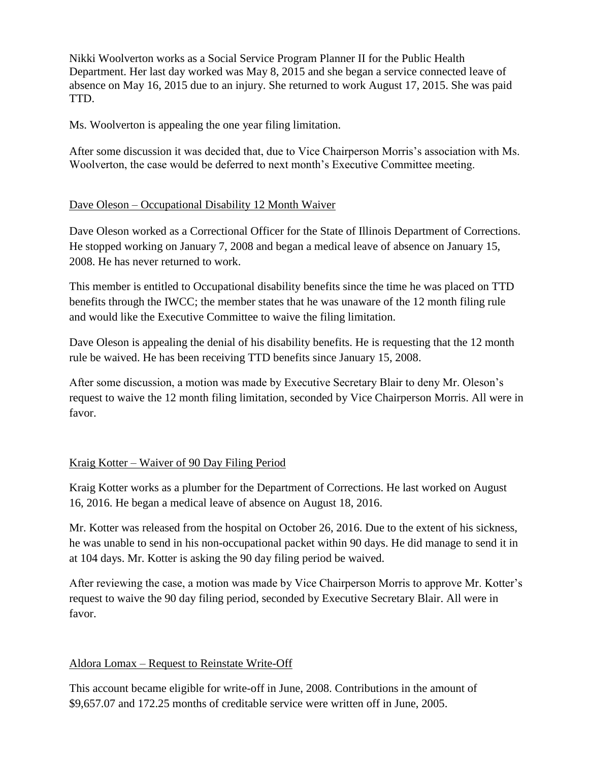Nikki Woolverton works as a Social Service Program Planner II for the Public Health Department. Her last day worked was May 8, 2015 and she began a service connected leave of absence on May 16, 2015 due to an injury. She returned to work August 17, 2015. She was paid TTD.

Ms. Woolverton is appealing the one year filing limitation.

After some discussion it was decided that, due to Vice Chairperson Morris's association with Ms. Woolverton, the case would be deferred to next month's Executive Committee meeting.

## Dave Oleson – Occupational Disability 12 Month Waiver

Dave Oleson worked as a Correctional Officer for the State of Illinois Department of Corrections. He stopped working on January 7, 2008 and began a medical leave of absence on January 15, 2008. He has never returned to work.

This member is entitled to Occupational disability benefits since the time he was placed on TTD benefits through the IWCC; the member states that he was unaware of the 12 month filing rule and would like the Executive Committee to waive the filing limitation.

Dave Oleson is appealing the denial of his disability benefits. He is requesting that the 12 month rule be waived. He has been receiving TTD benefits since January 15, 2008.

After some discussion, a motion was made by Executive Secretary Blair to deny Mr. Oleson's request to waive the 12 month filing limitation, seconded by Vice Chairperson Morris. All were in favor.

# Kraig Kotter – Waiver of 90 Day Filing Period

Kraig Kotter works as a plumber for the Department of Corrections. He last worked on August 16, 2016. He began a medical leave of absence on August 18, 2016.

Mr. Kotter was released from the hospital on October 26, 2016. Due to the extent of his sickness, he was unable to send in his non-occupational packet within 90 days. He did manage to send it in at 104 days. Mr. Kotter is asking the 90 day filing period be waived.

After reviewing the case, a motion was made by Vice Chairperson Morris to approve Mr. Kotter's request to waive the 90 day filing period, seconded by Executive Secretary Blair. All were in favor.

# Aldora Lomax – Request to Reinstate Write-Off

This account became eligible for write-off in June, 2008. Contributions in the amount of \$9,657.07 and 172.25 months of creditable service were written off in June, 2005.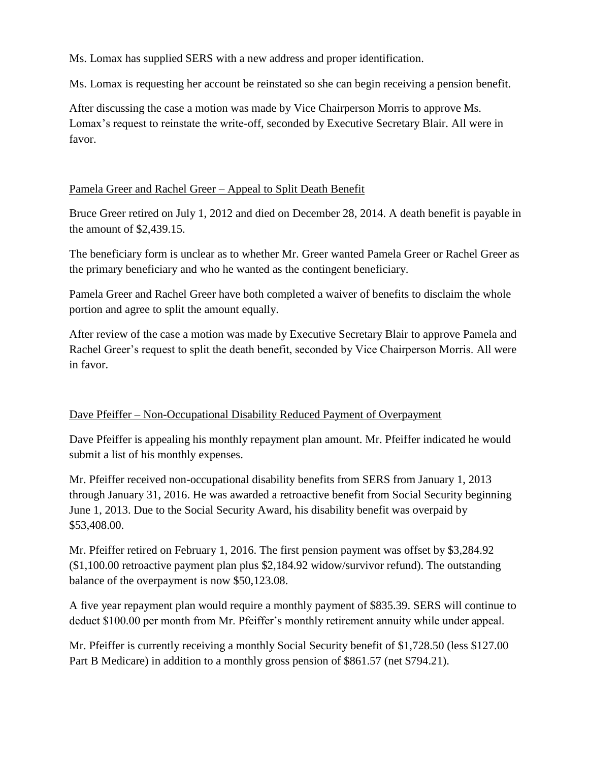Ms. Lomax has supplied SERS with a new address and proper identification.

Ms. Lomax is requesting her account be reinstated so she can begin receiving a pension benefit.

After discussing the case a motion was made by Vice Chairperson Morris to approve Ms. Lomax's request to reinstate the write-off, seconded by Executive Secretary Blair. All were in favor.

## Pamela Greer and Rachel Greer – Appeal to Split Death Benefit

Bruce Greer retired on July 1, 2012 and died on December 28, 2014. A death benefit is payable in the amount of \$2,439.15.

The beneficiary form is unclear as to whether Mr. Greer wanted Pamela Greer or Rachel Greer as the primary beneficiary and who he wanted as the contingent beneficiary.

Pamela Greer and Rachel Greer have both completed a waiver of benefits to disclaim the whole portion and agree to split the amount equally.

After review of the case a motion was made by Executive Secretary Blair to approve Pamela and Rachel Greer's request to split the death benefit, seconded by Vice Chairperson Morris. All were in favor.

## Dave Pfeiffer – Non-Occupational Disability Reduced Payment of Overpayment

Dave Pfeiffer is appealing his monthly repayment plan amount. Mr. Pfeiffer indicated he would submit a list of his monthly expenses.

Mr. Pfeiffer received non-occupational disability benefits from SERS from January 1, 2013 through January 31, 2016. He was awarded a retroactive benefit from Social Security beginning June 1, 2013. Due to the Social Security Award, his disability benefit was overpaid by \$53,408.00.

Mr. Pfeiffer retired on February 1, 2016. The first pension payment was offset by \$3,284.92 (\$1,100.00 retroactive payment plan plus \$2,184.92 widow/survivor refund). The outstanding balance of the overpayment is now \$50,123.08.

A five year repayment plan would require a monthly payment of \$835.39. SERS will continue to deduct \$100.00 per month from Mr. Pfeiffer's monthly retirement annuity while under appeal.

Mr. Pfeiffer is currently receiving a monthly Social Security benefit of \$1,728.50 (less \$127.00 Part B Medicare) in addition to a monthly gross pension of \$861.57 (net \$794.21).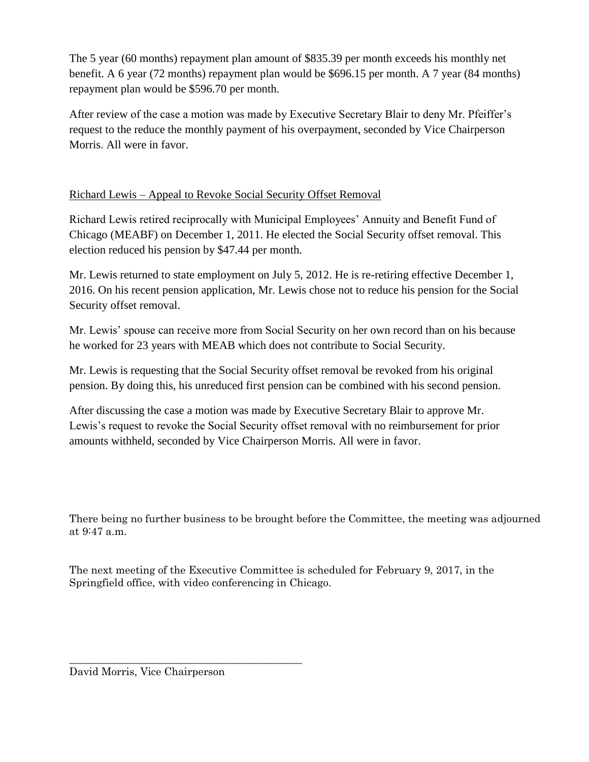The 5 year (60 months) repayment plan amount of \$835.39 per month exceeds his monthly net benefit. A 6 year (72 months) repayment plan would be \$696.15 per month. A 7 year (84 months) repayment plan would be \$596.70 per month.

After review of the case a motion was made by Executive Secretary Blair to deny Mr. Pfeiffer's request to the reduce the monthly payment of his overpayment, seconded by Vice Chairperson Morris. All were in favor.

# Richard Lewis – Appeal to Revoke Social Security Offset Removal

Richard Lewis retired reciprocally with Municipal Employees' Annuity and Benefit Fund of Chicago (MEABF) on December 1, 2011. He elected the Social Security offset removal. This election reduced his pension by \$47.44 per month.

Mr. Lewis returned to state employment on July 5, 2012. He is re-retiring effective December 1, 2016. On his recent pension application, Mr. Lewis chose not to reduce his pension for the Social Security offset removal.

Mr. Lewis' spouse can receive more from Social Security on her own record than on his because he worked for 23 years with MEAB which does not contribute to Social Security.

Mr. Lewis is requesting that the Social Security offset removal be revoked from his original pension. By doing this, his unreduced first pension can be combined with his second pension.

After discussing the case a motion was made by Executive Secretary Blair to approve Mr. Lewis's request to revoke the Social Security offset removal with no reimbursement for prior amounts withheld, seconded by Vice Chairperson Morris. All were in favor.

There being no further business to be brought before the Committee, the meeting was adjourned at 9:47 a.m.

The next meeting of the Executive Committee is scheduled for February 9, 2017, in the Springfield office, with video conferencing in Chicago.

\_\_\_\_\_\_\_\_\_\_\_\_\_\_\_\_\_\_\_\_\_\_\_\_\_\_\_\_\_\_\_\_\_\_\_\_\_\_\_\_\_\_\_\_